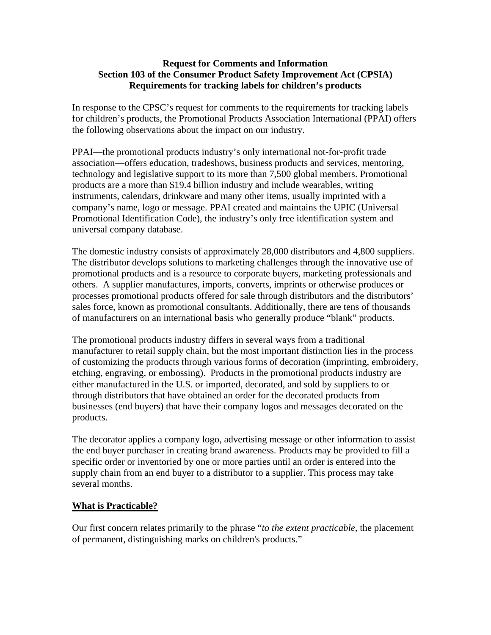## **Request for Comments and Information Section 103 of the Consumer Product Safety Improvement Act (CPSIA) Requirements for tracking labels for children's products**

In response to the CPSC's request for comments to the requirements for tracking labels for children's products, the Promotional Products Association International (PPAI) offers the following observations about the impact on our industry.

PPAI—the promotional products industry's only international not-for-profit trade association—offers education, tradeshows, business products and services, mentoring, technology and legislative support to its more than 7,500 global members. Promotional products are a more than \$19.4 billion industry and include wearables, writing instruments, calendars, drinkware and many other items, usually imprinted with a company's name, logo or message. PPAI created and maintains the UPIC (Universal Promotional Identification Code), the industry's only free identification system and universal company database.

The domestic industry consists of approximately 28,000 distributors and 4,800 suppliers. The distributor develops solutions to marketing challenges through the innovative use of promotional products and is a resource to corporate buyers, marketing professionals and others. A supplier manufactures, imports, converts, imprints or otherwise produces or processes promotional products offered for sale through distributors and the distributors' sales force, known as promotional consultants. Additionally, there are tens of thousands of manufacturers on an international basis who generally produce "blank" products.

The promotional products industry differs in several ways from a traditional manufacturer to retail supply chain, but the most important distinction lies in the process of customizing the products through various forms of decoration (imprinting, embroidery, etching, engraving, or embossing). Products in the promotional products industry are either manufactured in the U.S. or imported, decorated, and sold by suppliers to or through distributors that have obtained an order for the decorated products from businesses (end buyers) that have their company logos and messages decorated on the products.

The decorator applies a company logo, advertising message or other information to assist the end buyer purchaser in creating brand awareness. Products may be provided to fill a specific order or inventoried by one or more parties until an order is entered into the supply chain from an end buyer to a distributor to a supplier. This process may take several months.

## **What is Practicable?**

Our first concern relates primarily to the phrase "*to the extent practicable,* the placement of permanent, distinguishing marks on children's products."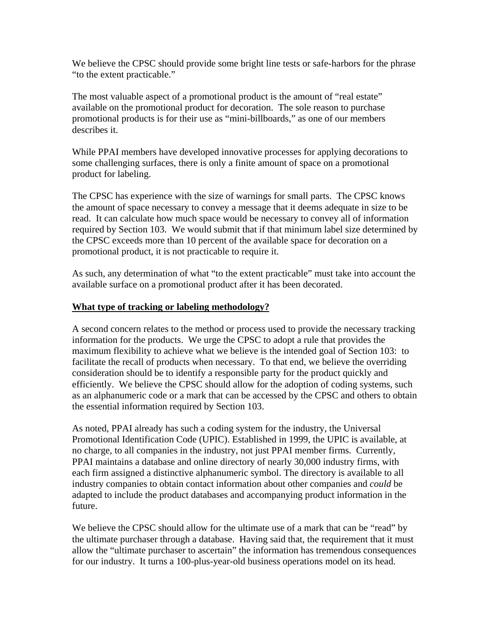We believe the CPSC should provide some bright line tests or safe-harbors for the phrase "to the extent practicable."

The most valuable aspect of a promotional product is the amount of "real estate" available on the promotional product for decoration. The sole reason to purchase promotional products is for their use as "mini-billboards," as one of our members describes it.

While PPAI members have developed innovative processes for applying decorations to some challenging surfaces, there is only a finite amount of space on a promotional product for labeling.

The CPSC has experience with the size of warnings for small parts. The CPSC knows the amount of space necessary to convey a message that it deems adequate in size to be read. It can calculate how much space would be necessary to convey all of information required by Section 103. We would submit that if that minimum label size determined by the CPSC exceeds more than 10 percent of the available space for decoration on a promotional product, it is not practicable to require it.

As such, any determination of what "to the extent practicable" must take into account the available surface on a promotional product after it has been decorated.

## **What type of tracking or labeling methodology?**

A second concern relates to the method or process used to provide the necessary tracking information for the products. We urge the CPSC to adopt a rule that provides the maximum flexibility to achieve what we believe is the intended goal of Section 103: to facilitate the recall of products when necessary. To that end, we believe the overriding consideration should be to identify a responsible party for the product quickly and efficiently. We believe the CPSC should allow for the adoption of coding systems, such as an alphanumeric code or a mark that can be accessed by the CPSC and others to obtain the essential information required by Section 103.

As noted, PPAI already has such a coding system for the industry, the Universal Promotional Identification Code (UPIC). Established in 1999, the UPIC is available, at no charge, to all companies in the industry, not just PPAI member firms. Currently, PPAI maintains a database and online directory of nearly 30,000 industry firms, with each firm assigned a distinctive alphanumeric symbol. The directory is available to all industry companies to obtain contact information about other companies and *could* be adapted to include the product databases and accompanying product information in the future.

We believe the CPSC should allow for the ultimate use of a mark that can be "read" by the ultimate purchaser through a database. Having said that, the requirement that it must allow the "ultimate purchaser to ascertain" the information has tremendous consequences for our industry. It turns a 100-plus-year-old business operations model on its head.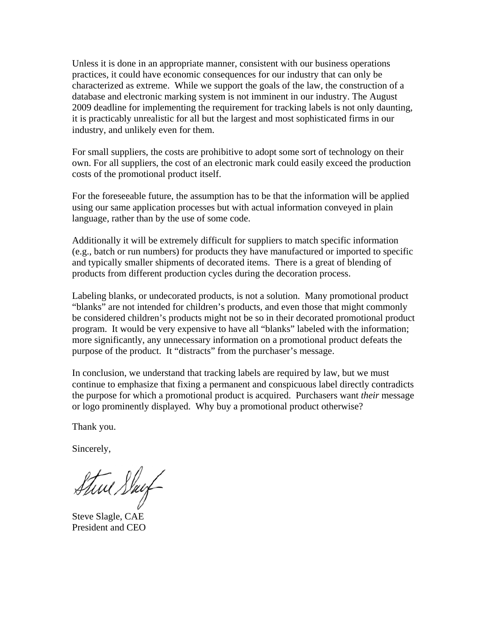Unless it is done in an appropriate manner, consistent with our business operations practices, it could have economic consequences for our industry that can only be characterized as extreme. While we support the goals of the law, the construction of a database and electronic marking system is not imminent in our industry. The August 2009 deadline for implementing the requirement for tracking labels is not only daunting, it is practicably unrealistic for all but the largest and most sophisticated firms in our industry, and unlikely even for them.

For small suppliers, the costs are prohibitive to adopt some sort of technology on their own. For all suppliers, the cost of an electronic mark could easily exceed the production costs of the promotional product itself.

For the foreseeable future, the assumption has to be that the information will be applied using our same application processes but with actual information conveyed in plain language, rather than by the use of some code.

Additionally it will be extremely difficult for suppliers to match specific information (e.g., batch or run numbers) for products they have manufactured or imported to specific and typically smaller shipments of decorated items. There is a great of blending of products from different production cycles during the decoration process.

Labeling blanks, or undecorated products, is not a solution. Many promotional product "blanks" are not intended for children's products, and even those that might commonly be considered children's products might not be so in their decorated promotional product program. It would be very expensive to have all "blanks" labeled with the information; more significantly, any unnecessary information on a promotional product defeats the purpose of the product. It "distracts" from the purchaser's message.

In conclusion, we understand that tracking labels are required by law, but we must continue to emphasize that fixing a permanent and conspicuous label directly contradicts the purpose for which a promotional product is acquired. Purchasers want *their* message or logo prominently displayed. Why buy a promotional product otherwise?

Thank you.

Sincerely,

Stive Stay

Steve Slagle, CAE President and CEO